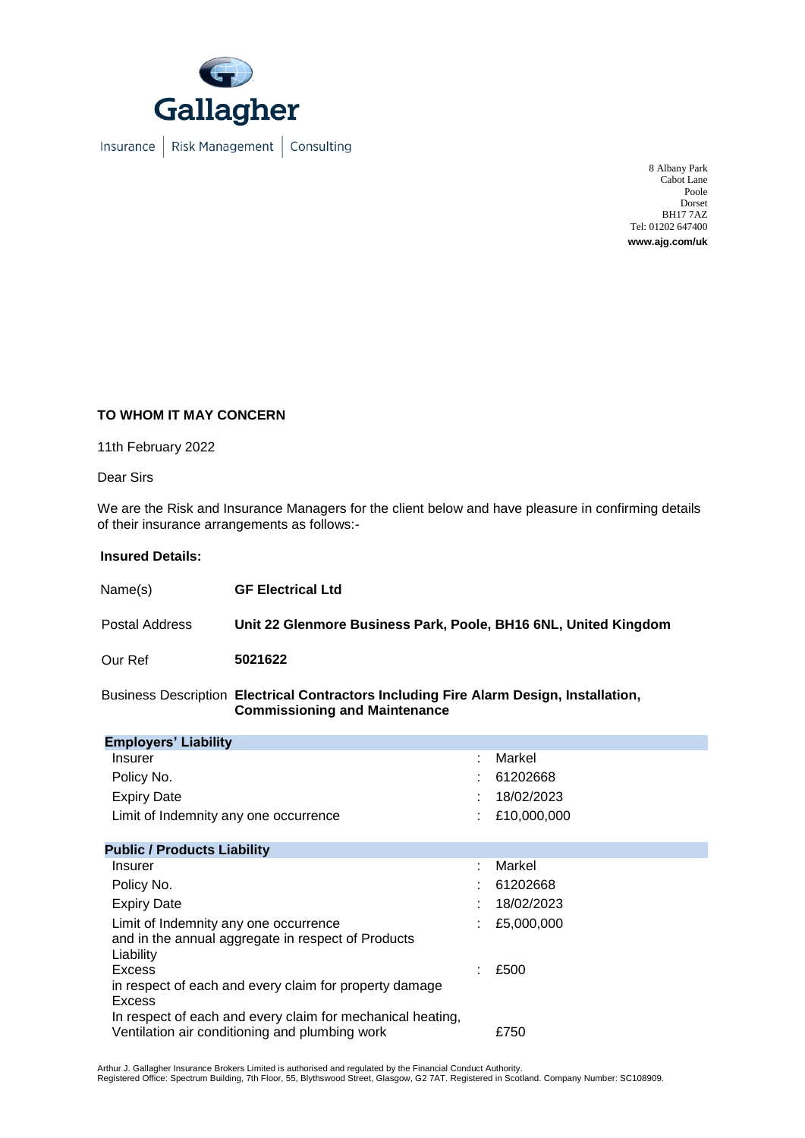

Insurance | Risk Management | Consulting

8 Albany Park Cabot Lane Poole Dorset BH17 7AZ Tel: 01202 647400 **www.ajg.com/uk**

## **TO WHOM IT MAY CONCERN**

11th February 2022

Dear Sirs

We are the Risk and Insurance Managers for the client below and have pleasure in confirming details of their insurance arrangements as follows:-

## **Insured Details:**

| Name(s)        | <b>GF Electrical Ltd</b>                                        |
|----------------|-----------------------------------------------------------------|
| Postal Address | Unit 22 Glenmore Business Park, Poole, BH16 6NL, United Kingdom |
| Our Ref        | 5021622                                                         |

Business Description **Electrical Contractors Including Fire Alarm Design, Installation, Commissioning and Maintenance**

| <b>Employers' Liability</b>                                                                                                    |   |             |
|--------------------------------------------------------------------------------------------------------------------------------|---|-------------|
| Insurer                                                                                                                        |   | Markel      |
| Policy No.                                                                                                                     |   | 61202668    |
| <b>Expiry Date</b>                                                                                                             |   | 18/02/2023  |
| Limit of Indemnity any one occurrence                                                                                          |   | £10,000,000 |
| <b>Public / Products Liability</b>                                                                                             |   |             |
| Insurer                                                                                                                        | ÷ | Markel      |
| Policy No.                                                                                                                     |   | 61202668    |
| <b>Expiry Date</b>                                                                                                             |   | 18/02/2023  |
| Limit of Indemnity any one occurrence<br>and in the annual aggregate in respect of Products<br>Liability                       |   | £5,000,000  |
| Excess                                                                                                                         |   | £500        |
| in respect of each and every claim for property damage<br>Excess<br>In respect of each and every claim for mechanical heating, |   |             |
| Ventilation air conditioning and plumbing work                                                                                 |   | £750        |